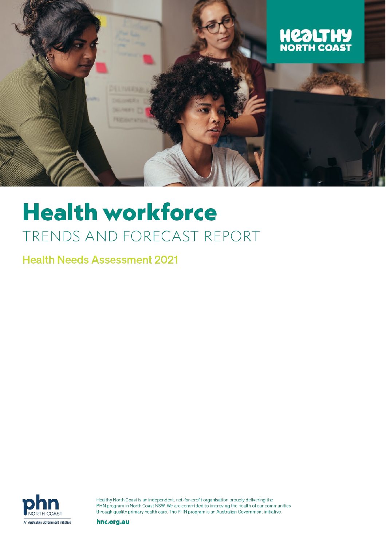

# **Health workforce** TRENDS AND FORECAST REPORT

**Health Needs Assessment 2021** 



Healthy North Coast is an independent, not-for-profit organisation proudly delivering the PHN program in North Coast NSW. We are committed to improving the health of our communities through quality primary health care. The PHN program is an Australian Government initiative.

hnc.org.au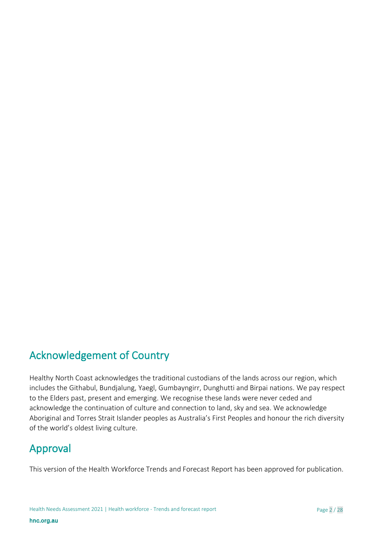# Acknowledgement of Country

Healthy North Coast acknowledges the traditional custodians of the lands across our region, which includes the Githabul, Bundjalung, Yaegl, Gumbayngirr, Dunghutti and Birpai nations. We pay respect to the Elders past, present and emerging. We recognise these lands were never ceded and acknowledge the continuation of culture and connection to land, sky and sea. We acknowledge Aboriginal and Torres Strait Islander peoples as Australia's First Peoples and honour the rich diversity of the world's oldest living culture.

# Approval

This version of the Health Workforce Trends and Forecast Report has been approved for publication.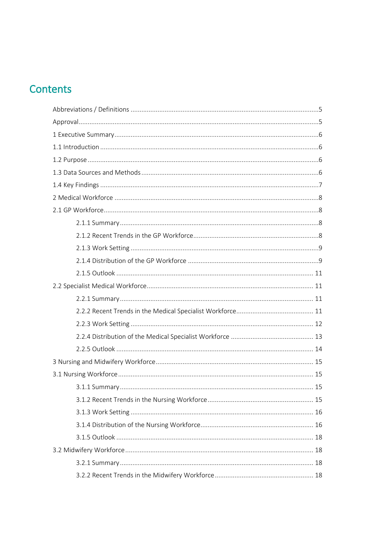# Contents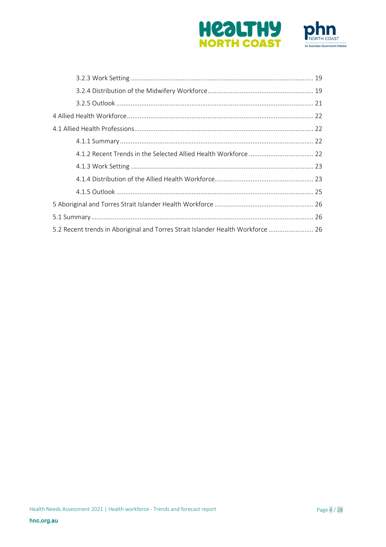



| 5.2 Recent trends in Aboriginal and Torres Strait Islander Health Workforce  26 |  |
|---------------------------------------------------------------------------------|--|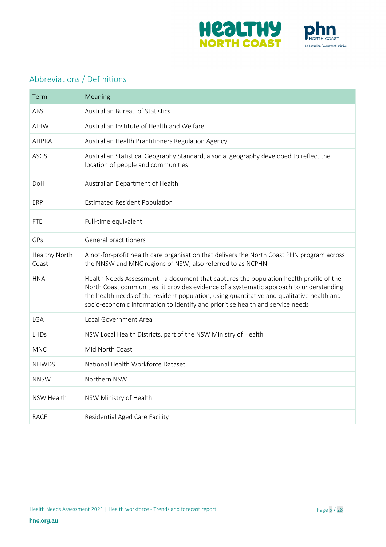



# <span id="page-4-0"></span>Abbreviations / Definitions

<span id="page-4-1"></span>

| Term                          | Meaning                                                                                                                                                                                                                                                                                                                                                            |
|-------------------------------|--------------------------------------------------------------------------------------------------------------------------------------------------------------------------------------------------------------------------------------------------------------------------------------------------------------------------------------------------------------------|
| ABS                           | <b>Australian Bureau of Statistics</b>                                                                                                                                                                                                                                                                                                                             |
| <b>AIHW</b>                   | Australian Institute of Health and Welfare                                                                                                                                                                                                                                                                                                                         |
| <b>AHPRA</b>                  | Australian Health Practitioners Regulation Agency                                                                                                                                                                                                                                                                                                                  |
| ASGS                          | Australian Statistical Geography Standard, a social geography developed to reflect the<br>location of people and communities                                                                                                                                                                                                                                       |
| DoH                           | Australian Department of Health                                                                                                                                                                                                                                                                                                                                    |
| ERP                           | <b>Estimated Resident Population</b>                                                                                                                                                                                                                                                                                                                               |
| <b>FTE</b>                    | Full-time equivalent                                                                                                                                                                                                                                                                                                                                               |
| GPs                           | General practitioners                                                                                                                                                                                                                                                                                                                                              |
| <b>Healthy North</b><br>Coast | A not-for-profit health care organisation that delivers the North Coast PHN program across<br>the NNSW and MNC regions of NSW; also referred to as NCPHN                                                                                                                                                                                                           |
| <b>HNA</b>                    | Health Needs Assessment - a document that captures the population health profile of the<br>North Coast communities; it provides evidence of a systematic approach to understanding<br>the health needs of the resident population, using quantitative and qualitative health and<br>socio-economic information to identify and prioritise health and service needs |
| LGA                           | Local Government Area                                                                                                                                                                                                                                                                                                                                              |
| <b>LHDs</b>                   | NSW Local Health Districts, part of the NSW Ministry of Health                                                                                                                                                                                                                                                                                                     |
| <b>MNC</b>                    | Mid North Coast                                                                                                                                                                                                                                                                                                                                                    |
| <b>NHWDS</b>                  | National Health Workforce Dataset                                                                                                                                                                                                                                                                                                                                  |
| <b>NNSW</b>                   | Northern NSW                                                                                                                                                                                                                                                                                                                                                       |
| NSW Health                    | NSW Ministry of Health                                                                                                                                                                                                                                                                                                                                             |
| <b>RACF</b>                   | Residential Aged Care Facility                                                                                                                                                                                                                                                                                                                                     |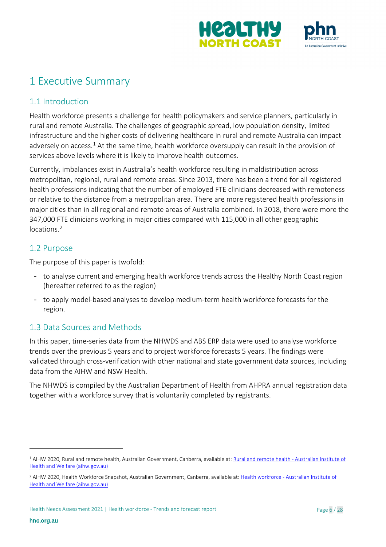



# <span id="page-5-0"></span>1 Executive Summary

# <span id="page-5-1"></span>1.1 Introduction

Health workforce presents a challenge for health policymakers and service planners, particularly in rural and remote Australia. The challenges of geographic spread, low population density, limited infrastructure and the higher costs of delivering healthcare in rural and remote Australia can impact adversely on access.<sup>[1](#page-5-4)</sup> At the same time, health workforce oversupply can result in the provision of services above levels where it is likely to improve health outcomes.

Currently, imbalances exist in Australia's health workforce resulting in maldistribution across metropolitan, regional, rural and remote areas. Since 2013, there has been a trend for all registered health professions indicating that the number of employed FTE clinicians decreased with remoteness or relative to the distance from a metropolitan area. There are more registered health professions in major cities than in all regional and remote areas of Australia combined. In 2018, there were more the 347,000 FTE clinicians working in major cities compared with 115,000 in all other geographic locations.<sup>[2](#page-5-5)</sup>

### <span id="page-5-6"></span><span id="page-5-2"></span>1.2 Purpose

The purpose of this paper is twofold:

- to analyse current and emerging health workforce trends across the Healthy North Coast region (hereafter referred to as the region)
- to apply model-based analyses to develop medium-term health workforce forecasts for the region.

# <span id="page-5-3"></span>1.3 Data Sources and Methods

In this paper, time-series data from the NHWDS and ABS ERP data were used to analyse workforce trends over the previous 5 years and to project workforce forecasts 5 years. The findings were validated through cross-verification with other national and state government data sources, including data from the AIHW and NSW Health.

The NHWDS is compiled by the Australian Department of Health from AHPRA annual registration data together with a workforce survey that is voluntarily completed by registrants.

<span id="page-5-4"></span><sup>&</sup>lt;sup>1</sup> AIHW 2020, Rural and remote health, Australian Government, Canberra, available at[: Rural and remote health -](https://www.aihw.gov.au/reports/australias-health/rural-and-remote-health) Australian Institute of [Health and Welfare \(aihw.gov.au\)](https://www.aihw.gov.au/reports/australias-health/rural-and-remote-health)

<span id="page-5-5"></span><sup>&</sup>lt;sup>2</sup> AIHW 2020, Health Workforce Snapshot, Australian Government, Canberra, available at: Health workforce - Australian Institute of [Health and Welfare \(aihw.gov.au\)](https://www.aihw.gov.au/reports/australias-health/health-workforce)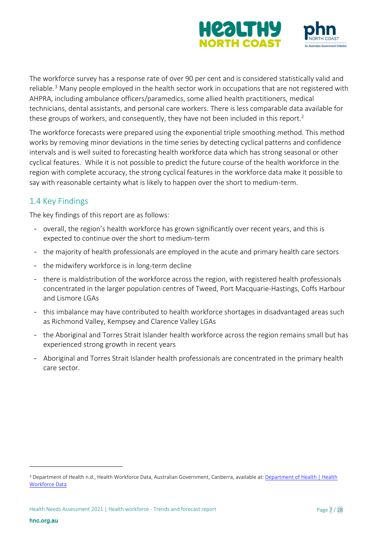



The workforce survey has a response rate of over 90 per cent and is considered statistically valid and reliable.<sup>[3](#page-6-1)</sup> Many people employed in the health sector work in occupations that are not registered with AHPRA, including ambulance officers/paramedics, some allied health practitioners, medical technicians, dental assistants, and personal care workers. There is less comparable data available for these groups of workers, and consequently, they have not been included in this report.<sup>2</sup>

The workforce forecasts were prepared using the exponential triple smoothing method. This method works by removing minor deviations in the time series by detecting cyclical patterns and confidence intervals and is well suited to forecasting health workforce data which has strong seasonal or other cyclical features. While it is not possible to predict the future course of the health workforce in the region with complete accuracy, the strong cyclical features in the workforce data make it possible to say with reasonable certainty what is likely to happen over the short to medium-term.

# <span id="page-6-0"></span>1.4 Key Findings

The key findings of this report are as follows:

- overall, the region's health workforce has grown significantly over recent years, and this is expected to continue over the short to medium-term
- the majority of health professionals are employed in the acute and primary health care sectors
- the midwifery workforce is in long-term decline
- there is maldistribution of the workforce across the region, with registered health professionals concentrated in the larger population centres of Tweed, Port Macquarie-Hastings, Coffs Harbour and Lismore LGAs
- this imbalance may have contributed to health workforce shortages in disadvantaged areas such as Richmond Valley, Kempsey and Clarence Valley LGAs
- the Aboriginal and Torres Strait Islander health workforce across the region remains small but has experienced strong growth in recent years
- Aboriginal and Torres Strait Islander health professionals are concentrated in the primary health care sector.

<span id="page-6-1"></span><sup>&</sup>lt;sup>3</sup> Department of Health n.d., Health Workforce Data, Australian Government, Canberra, available at: <u>Department of Health | Health</u> [Workforce Data](https://www1.health.gov.au/internet/main/publishing.nsf/Content/health_workforce_data)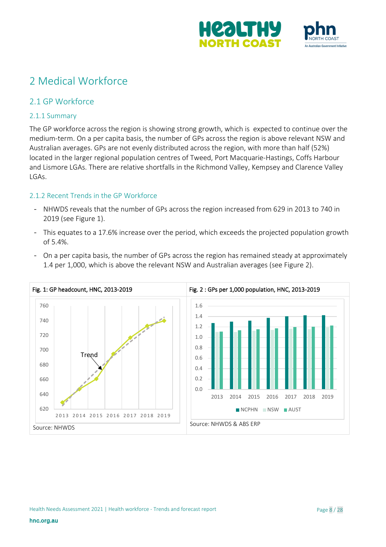



# <span id="page-7-0"></span>2 Medical Workforce

### <span id="page-7-1"></span>2.1 GP Workforce

#### <span id="page-7-2"></span>2.1.1 Summary

The GP workforce across the region is showing strong growth, which is expected to continue over the medium-term. On a per capita basis, the number of GPs across the region is above relevant NSW and Australian averages. GPs are not evenly distributed across the region, with more than half (52%) located in the larger regional population centres of Tweed, Port Macquarie-Hastings, Coffs Harbour and Lismore LGAs. There are relative shortfalls in the Richmond Valley, Kempsey and Clarence Valley LGAs.

#### <span id="page-7-3"></span>2.1.2 Recent Trends in the GP Workforce

- NHWDS reveals that the number of GPs across the region increased from 629 in 2013 to 740 in 2019 (see Figure 1).
- This equates to a 17.6% increase over the period, which exceeds the projected population growth of 5.4%.



- On a per capita basis, the number of GPs across the region has remained steady at approximately 1.4 per 1,000, which is above the relevant NSW and Australian averages (see Figure 2).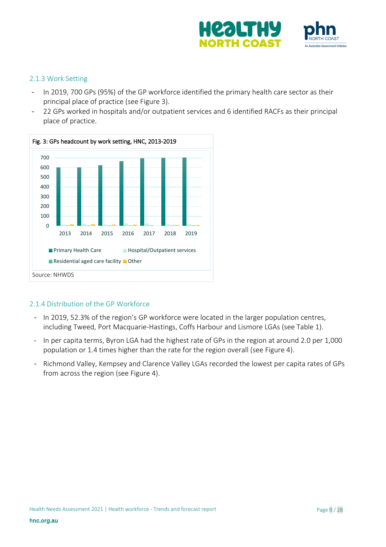

#### <span id="page-8-0"></span>2.1.3 Work Setting

- In 2019, 700 GPs (95%) of the GP workforce identified the primary health care sector as their principal place of practice (see Figure 3).
- 22 GPs worked in hospitals and/or outpatient services and 6 identified RACFs as their principal place of practice.



#### <span id="page-8-1"></span>2.1.4 Distribution of the GP Workforce

- In 2019, 52.3% of the region's GP workforce were located in the larger population centres, including Tweed, Port Macquarie-Hastings, Coffs Harbour and Lismore LGAs (see Table 1).
- In per capita terms, Byron LGA had the highest rate of GPs in the region at around 2.0 per 1,000 population or 1.4 times higher than the rate for the region overall (see Figure 4).
- Richmond Valley, Kempsey and Clarence Valley LGAs recorded the lowest per capita rates of GPs from across the region (see Figure 4).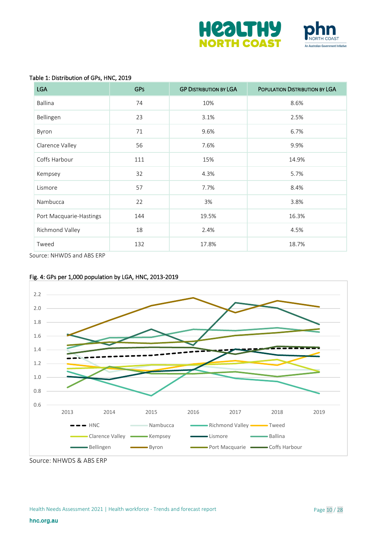



#### Table 1: Distribution of GPs, HNC, 2019

| <b>LGA</b>              | <b>GPS</b> | <b>GP DISTRIBUTION BY LGA</b> | POPULATION DISTRIBUTION BY LGA |
|-------------------------|------------|-------------------------------|--------------------------------|
| Ballina                 | 74         | 10%                           | 8.6%                           |
| Bellingen               | 23         | 3.1%                          | 2.5%                           |
| Byron                   | 71         | 9.6%                          | 6.7%                           |
| Clarence Valley         | 56         | 7.6%                          | 9.9%                           |
| Coffs Harbour           | 111        | 15%                           | 14.9%                          |
| Kempsey                 | 32         | 4.3%                          | 5.7%                           |
| Lismore                 | 57         | 7.7%                          | 8.4%                           |
| Nambucca                | 22         | 3%                            | 3.8%                           |
| Port Macquarie-Hastings | 144        | 19.5%                         | 16.3%                          |
| Richmond Valley         | 18         | 2.4%                          | 4.5%                           |
| Tweed                   | 132        | 17.8%                         | 18.7%                          |

Source: NHWDS and ABS ERP





Source: NHWDS & ABS ERP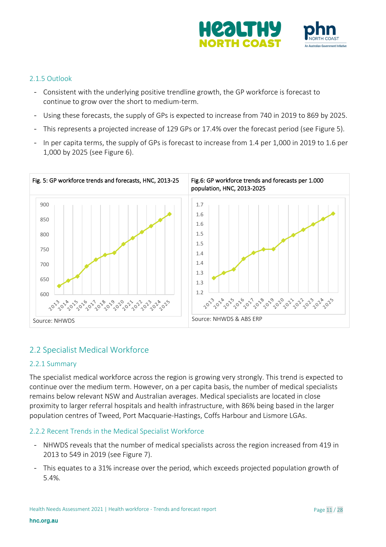

#### <span id="page-10-0"></span>2.1.5 Outlook

- Consistent with the underlying positive trendline growth, the GP workforce is forecast to continue to grow over the short to medium-term.
- Using these forecasts, the supply of GPs is expected to increase from 740 in 2019 to 869 by 2025.
- This represents a projected increase of 129 GPs or 17.4% over the forecast period (see Figure 5).
- In per capita terms, the supply of GPs is forecast to increase from 1.4 per 1,000 in 2019 to 1.6 per 1,000 by 2025 (see Figure 6).



### <span id="page-10-1"></span>2.2 Specialist Medical Workforce

#### <span id="page-10-2"></span>2.2.1 Summary

The specialist medical workforce across the region is growing very strongly. This trend is expected to continue over the medium term. However, on a per capita basis, the number of medical specialists remains below relevant NSW and Australian averages. Medical specialists are located in close proximity to larger referral hospitals and health infrastructure, with 86% being based in the larger population centres of Tweed, Port Macquarie-Hastings, Coffs Harbour and Lismore LGAs.

#### <span id="page-10-3"></span>2.2.2 Recent Trends in the Medical Specialist Workforce

- NHWDS reveals that the number of medical specialists across the region increased from 419 in 2013 to 549 in 2019 (see Figure 7).
- This equates to a 31% increase over the period, which exceeds projected population growth of 5.4%.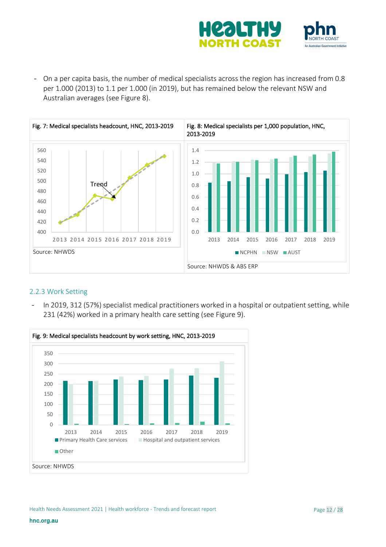

- On a per capita basis, the number of medical specialists across the region has increased from 0.8 per 1.000 (2013) to 1.1 per 1.000 (in 2019), but has remained below the relevant NSW and Australian averages (see Figure 8).



#### <span id="page-11-0"></span>2.2.3 Work Setting

- In 2019, 312 (57%) specialist medical practitioners worked in a hospital or outpatient setting, while 231 (42%) worked in a primary health care setting (see Figure 9).

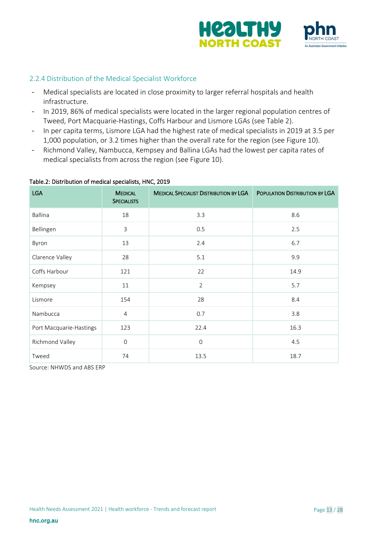

#### <span id="page-12-0"></span>2.2.4 Distribution of the Medical Specialist Workforce

- Medical specialists are located in close proximity to larger referral hospitals and health infrastructure.
- In 2019, 86% of medical specialists were located in the larger regional population centres of Tweed, Port Macquarie-Hastings, Coffs Harbour and Lismore LGAs (see Table 2).
- In per capita terms, Lismore LGA had the highest rate of medical specialists in 2019 at 3.5 per 1,000 population, or 3.2 times higher than the overall rate for the region (see Figure 10).
- Richmond Valley, Nambucca, Kempsey and Ballina LGAs had the lowest per capita rates of medical specialists from across the region (see Figure 10).

| <b>LGA</b>              | <b>MEDICAL</b><br><b>SPECIALISTS</b> | <b>MEDICAL SPECIALIST DISTRIBUTION BY LGA</b> | POPULATION DISTRIBUTION BY LGA |
|-------------------------|--------------------------------------|-----------------------------------------------|--------------------------------|
| Ballina                 | 18                                   | 3.3                                           | 8.6                            |
| Bellingen               | 3                                    | 0.5                                           | 2.5                            |
| Byron                   | 13                                   | 2.4                                           | 6.7                            |
| Clarence Valley         | 28                                   | 5.1                                           | 9.9                            |
| Coffs Harbour           | 121                                  | 22                                            | 14.9                           |
| Kempsey                 | 11                                   | $\overline{2}$                                | 5.7                            |
| Lismore                 | 154                                  | 28                                            | 8.4                            |
| Nambucca                | $\overline{4}$                       | 0.7                                           | 3.8                            |
| Port Macquarie-Hastings | 123                                  | 22.4                                          | 16.3                           |
| Richmond Valley         | $\mathsf{O}\xspace$                  | $\mathbf 0$                                   | 4.5                            |
| Tweed                   | 74                                   | 13.5                                          | 18.7                           |

#### Table.2: Distribution of medical specialists, HNC, 2019

Source: NHWDS and ABS ERP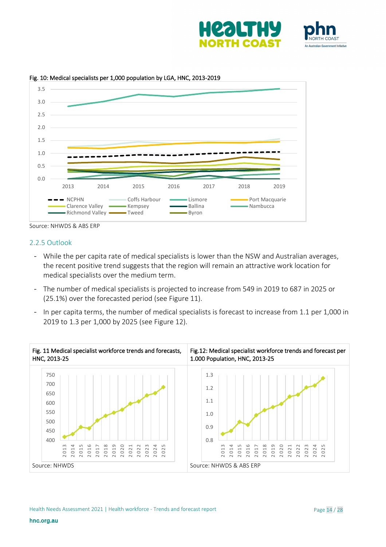







Source: NHWDS & ABS ERP

#### <span id="page-13-0"></span>2.2.5 Outlook

- While the per capita rate of medical specialists is lower than the NSW and Australian averages, the recent positive trend suggests that the region will remain an attractive work location for medical specialists over the medium term.
- The number of medical specialists is projected to increase from 549 in 2019 to 687 in 2025 or (25.1%) over the forecasted period (see Figure 11).
- In per capita terms, the number of medical specialists is forecast to increase from 1.1 per 1,000 in 2019 to 1.3 per 1,000 by 2025 (see Figure 12).

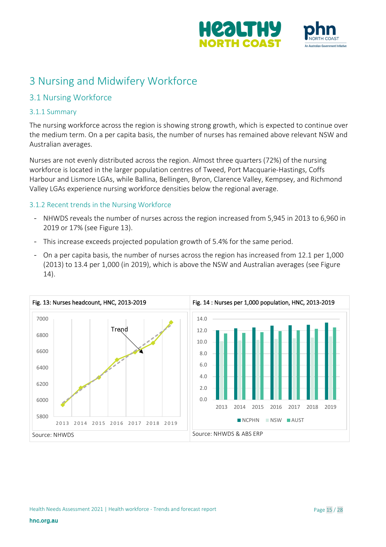



# <span id="page-14-0"></span>3 Nursing and Midwifery Workforce

# <span id="page-14-1"></span>3.1 Nursing Workforce

#### <span id="page-14-2"></span>3.1.1 Summary

The nursing workforce across the region is showing strong growth, which is expected to continue over the medium term. On a per capita basis, the number of nurses has remained above relevant NSW and Australian averages.

Nurses are not evenly distributed across the region. Almost three quarters (72%) of the nursing workforce is located in the larger population centres of Tweed, Port Macquarie-Hastings, Coffs Harbour and Lismore LGAs, while Ballina, Bellingen, Byron, Clarence Valley, Kempsey, and Richmond Valley LGAs experience nursing workforce densities below the regional average.

### <span id="page-14-3"></span>3.1.2 Recent trends in the Nursing Workforce

- NHWDS reveals the number of nurses across the region increased from 5,945 in 2013 to 6,960 in 2019 or 17% (see Figure 13).
- This increase exceeds projected population growth of 5.4% for the same period.
- On a per capita basis, the number of nurses across the region has increased from 12.1 per 1,000 (2013) to 13.4 per 1,000 (in 2019), which is above the NSW and Australian averages (see Figure 14).

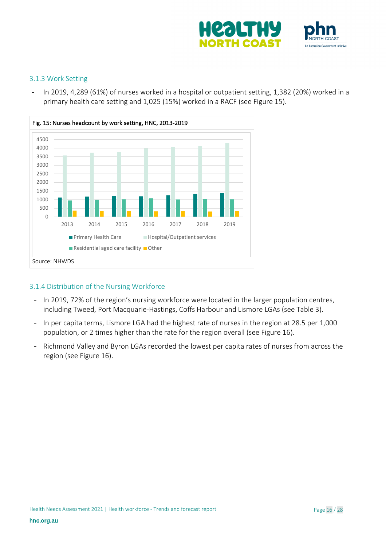

#### <span id="page-15-0"></span>3.1.3 Work Setting

- In 2019, 4,289 (61%) of nurses worked in a hospital or outpatient setting, 1,382 (20%) worked in a primary health care setting and 1,025 (15%) worked in a RACF (see Figure 15).



#### <span id="page-15-1"></span>3.1.4 Distribution of the Nursing Workforce

- In 2019, 72% of the region's nursing workforce were located in the larger population centres, including Tweed, Port Macquarie-Hastings, Coffs Harbour and Lismore LGAs (see Table 3).
- In per capita terms, Lismore LGA had the highest rate of nurses in the region at 28.5 per 1,000 population, or 2 times higher than the rate for the region overall (see Figure 16).
- Richmond Valley and Byron LGAs recorded the lowest per capita rates of nurses from across the region (see Figure 16).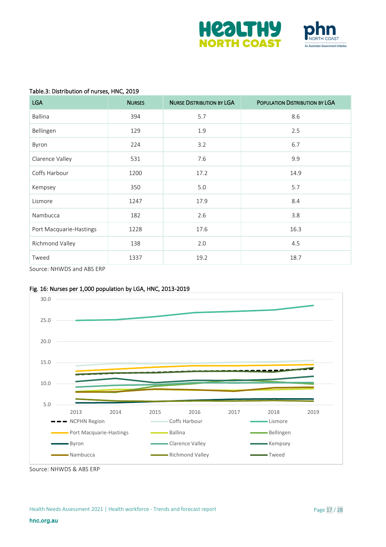



#### Table.3: Distribution of nurses, HNC, 2019

| <b>LGA</b>              | <b>NURSES</b> | <b>NURSE DISTRIBUTION BY LGA</b> | POPULATION DISTRIBUTION BY LGA |
|-------------------------|---------------|----------------------------------|--------------------------------|
| Ballina                 | 394           | 5.7                              | 8.6                            |
| Bellingen               | 129           | 1.9                              | 2.5                            |
| Byron                   | 224           | 3.2                              | 6.7                            |
| Clarence Valley         | 531           | 7.6                              | 9.9                            |
| Coffs Harbour           | 1200          | 17.2                             | 14.9                           |
| Kempsey                 | 350           | 5.0                              | 5.7                            |
| Lismore                 | 1247          | 17.9                             | 8.4                            |
| Nambucca                | 182           | 2.6                              | 3.8                            |
| Port Macquarie-Hastings | 1228          | 17.6                             | 16.3                           |
| Richmond Valley         | 138           | 2.0                              | 4.5                            |
| Tweed                   | 1337          | 19.2                             | 18.7                           |

Source: NHWDS and ABS ERP

#### Fig. 16: Nurses per 1,000 population by LGA, HNC, 2013-2019



Source: NHWDS & ABS ERP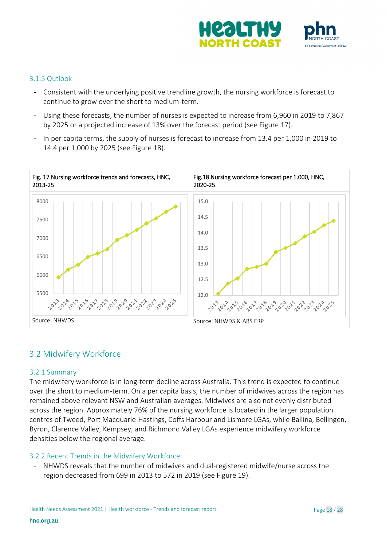

#### <span id="page-17-0"></span>3.1.5 Outlook

- Consistent with the underlying positive trendline growth, the nursing workforce is forecast to continue to grow over the short to medium-term.
- Using these forecasts, the number of nurses is expected to increase from 6,960 in 2019 to 7,867 by 2025 or a projected increase of 13% over the forecast period (see Figure 17).
- In per capita terms, the supply of nurses is forecast to increase from 13.4 per 1,000 in 2019 to 14.4 per 1,000 by 2025 (see Figure 18).



### <span id="page-17-1"></span>3.2 Midwifery Workforce

#### <span id="page-17-2"></span>3.2.1 Summary

The midwifery workforce is in long-term decline across Australia. This trend is expected to continue over the short to medium-term. On a per capita basis, the number of midwives across the region has remained above relevant NSW and Australian averages. Midwives are also not evenly distributed across the region. Approximately 76% of the nursing workforce is located in the larger population centres of Tweed, Port Macquarie-Hastings, Coffs Harbour and Lismore LGAs, while Ballina, Bellingen, Byron, Clarence Valley, Kempsey, and Richmond Valley LGAs experience midwifery workforce densities below the regional average.

#### <span id="page-17-3"></span>3.2.2 Recent Trends in the Midwifery Workforce

- NHWDS reveals that the number of midwives and dual-registered midwife/nurse across the region decreased from 699 in 2013 to 572 in 2019 (see Figure 19).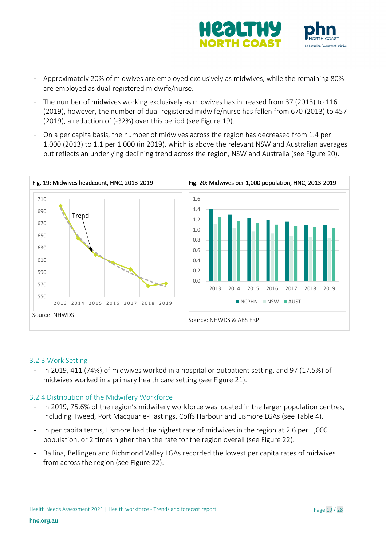

- Approximately 20% of midwives are employed exclusively as midwives, while the remaining 80% are employed as dual-registered midwife/nurse.
- The number of midwives working exclusively as midwives has increased from 37 (2013) to 116 (2019), however, the number of dual-registered midwife/nurse has fallen from 670 (2013) to 457 (2019), a reduction of (-32%) over this period (see Figure 19).
- On a per capita basis, the number of midwives across the region has decreased from 1.4 per 1.000 (2013) to 1.1 per 1.000 (in 2019), which is above the relevant NSW and Australian averages but reflects an underlying declining trend across the region, NSW and Australia (see Figure 20).



#### <span id="page-18-0"></span>3.2.3 Work Setting

- In 2019, 411 (74%) of midwives worked in a hospital or outpatient setting, and 97 (17.5%) of midwives worked in a primary health care setting (see Figure 21).

#### <span id="page-18-1"></span>3.2.4 Distribution of the Midwifery Workforce

- In 2019, 75.6% of the region's midwifery workforce was located in the larger population centres, including Tweed, Port Macquarie-Hastings, Coffs Harbour and Lismore LGAs (see Table 4).
- In per capita terms, Lismore had the highest rate of midwives in the region at 2.6 per 1,000 population, or 2 times higher than the rate for the region overall (see Figure 22).
- Ballina, Bellingen and Richmond Valley LGAs recorded the lowest per capita rates of midwives from across the region (see Figure 22).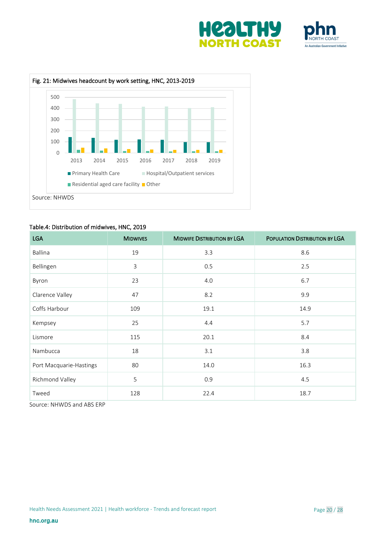





#### Table.4: Distribution of midwives, HNC, 2019

| <b>LGA</b>              | <b>MIDWIVES</b> | <b>MIDWIFE DISTRIBUTION BY LGA</b> | POPULATION DISTRIBUTION BY LGA |
|-------------------------|-----------------|------------------------------------|--------------------------------|
| Ballina                 | 19              | 3.3                                | 8.6                            |
| Bellingen               | $\mathsf{3}$    | 0.5                                | 2.5                            |
| Byron                   | 23              | 4.0                                | 6.7                            |
| Clarence Valley         | 47              | 8.2                                | 9.9                            |
| Coffs Harbour           | 109             | 19.1                               | 14.9                           |
| Kempsey                 | 25              | 4.4                                | 5.7                            |
| Lismore                 | 115             | 20.1                               | 8.4                            |
| Nambucca                | 18              | 3.1                                | 3.8                            |
| Port Macquarie-Hastings | 80              | 14.0                               | 16.3                           |
| Richmond Valley         | 5               | 0.9                                | 4.5                            |
| Tweed                   | 128             | 22.4                               | 18.7                           |

Source: NHWDS and ABS ERP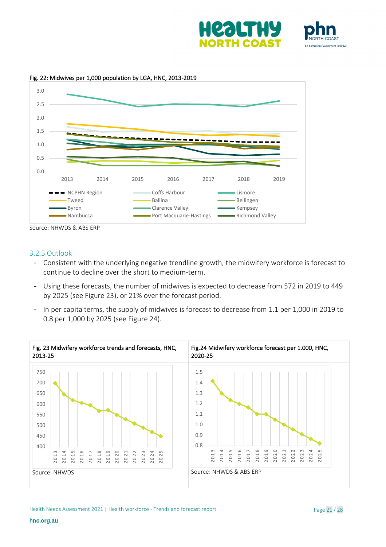







Source: NHWDS & ABS ERP

#### <span id="page-20-0"></span>3.2.5 Outlook

- Consistent with the underlying negative trendline growth, the midwifery workforce is forecast to continue to decline over the short to medium-term.
- Using these forecasts, the number of midwives is expected to decrease from 572 in 2019 to 449 by 2025 (see Figure 23), or 21% over the forecast period.
- In per capita terms, the supply of midwives is forecast to decrease from 1.1 per 1,000 in 2019 to 0.8 per 1,000 by 2025 (see Figure 24).

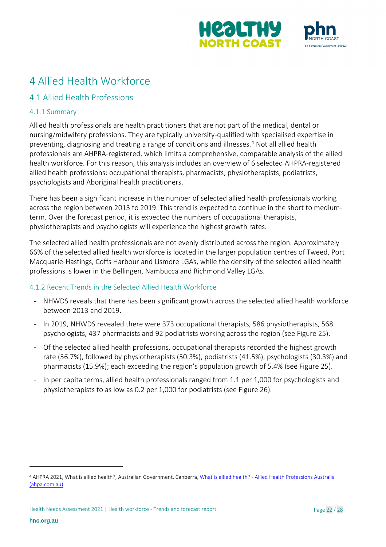



# <span id="page-21-0"></span>4 Allied Health Workforce

# <span id="page-21-1"></span>4.1 Allied Health Professions

### <span id="page-21-2"></span>4.1.1 Summary

Allied health professionals are health practitioners that are not part of the medical, dental or nursing/midwifery professions. They are typically university-qualified with specialised expertise in preventing, diagnosing and treating a range of conditions and illnesses. [4](#page-21-4) Not all allied health professionals are AHPRA-registered, which limits a comprehensive, comparable analysis of the allied health workforce. For this reason, this analysis includes an overview of 6 selected AHPRA-registered allied health professions: occupational therapists, pharmacists, physiotherapists, podiatrists, psychologists and Aboriginal health practitioners.

There has been a significant increase in the number of selected allied health professionals working across the region between 2013 to 2019. This trend is expected to continue in the short to mediumterm. Over the forecast period, it is expected the numbers of occupational therapists, physiotherapists and psychologists will experience the highest growth rates.

The selected allied health professionals are not evenly distributed across the region. Approximately 66% of the selected allied health workforce is located in the larger population centres of Tweed, Port Macquarie-Hastings, Coffs Harbour and Lismore LGAs, while the density of the selected allied health professions is lower in the Bellingen, Nambucca and Richmond Valley LGAs.

#### <span id="page-21-3"></span>4.1.2 Recent Trends in the Selected Allied Health Workforce

- NHWDS reveals that there has been significant growth across the selected allied health workforce between 2013 and 2019.
- In 2019, NHWDS revealed there were 373 occupational therapists, 586 physiotherapists, 568 psychologists, 437 pharmacists and 92 podiatrists working across the region (see Figure 25).
- Of the selected allied health professions, occupational therapists recorded the highest growth rate (56.7%), followed by physiotherapists (50.3%), podiatrists (41.5%), psychologists (30.3%) and pharmacists (15.9%); each exceeding the region's population growth of 5.4% (see Figure 25).
- In per capita terms, allied health professionals ranged from 1.1 per 1,000 for psychologists and physiotherapists to as low as 0.2 per 1,000 for podiatrists (see Figure 26).

<span id="page-21-4"></span><sup>4</sup> AHPRA 2021, What is allied health?, Australian Government, Canberra, What is allied health? - Allied Health Professions Australia [\(ahpa.com.au\)](https://ahpa.com.au/what-is-allied-health/)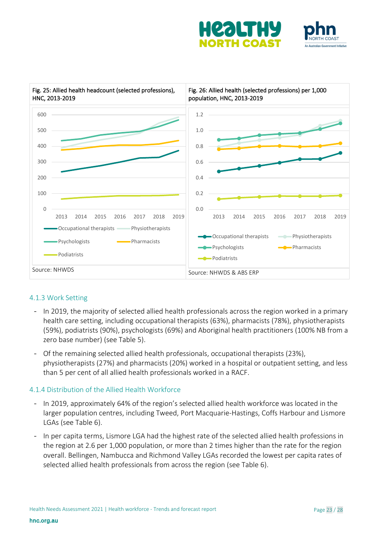





#### <span id="page-22-0"></span>4.1.3 Work Setting

- In 2019, the majority of selected allied health professionals across the region worked in a primary health care setting, including occupational therapists (63%), pharmacists (78%), physiotherapists (59%), podiatrists (90%), psychologists (69%) and Aboriginal health practitioners (100% NB from a zero base number) (see Table 5).
- Of the remaining selected allied health professionals, occupational therapists (23%), physiotherapists (27%) and pharmacists (20%) worked in a hospital or outpatient setting, and less than 5 per cent of all allied health professionals worked in a RACF.

#### <span id="page-22-1"></span>4.1.4 Distribution of the Allied Health Workforce

- In 2019, approximately 64% of the region's selected allied health workforce was located in the larger population centres, including Tweed, Port Macquarie-Hastings, Coffs Harbour and Lismore LGAs (see Table 6).
- In per capita terms, Lismore LGA had the highest rate of the selected allied health professions in the region at 2.6 per 1,000 population, or more than 2 times higher than the rate for the region overall. Bellingen, Nambucca and Richmond Valley LGAs recorded the lowest per capita rates of selected allied health professionals from across the region (see Table 6).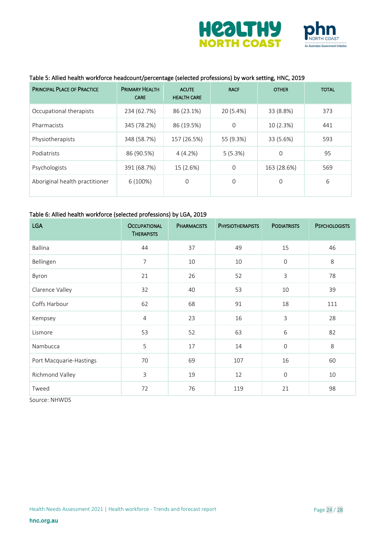



#### Table 5: Allied health workforce headcount/percentage (selected professions) by work setting, HNC, 2019

| <b>PRINCIPAL PLACE OF PRACTICE</b> | <b>PRIMARY HEALTH</b><br><b>CARE</b> | <b>ACUTE</b><br><b>HEALTH CARE</b> | <b>RACF</b> | <b>OTHER</b> | <b>TOTAL</b> |
|------------------------------------|--------------------------------------|------------------------------------|-------------|--------------|--------------|
| Occupational therapists            | 234 (62.7%)                          | 86 (23.1%)                         | 20 (5.4%)   | 33 (8.8%)    | 373          |
| Pharmacists                        | 345 (78.2%)                          | 86 (19.5%)                         | 0           | 10 (2.3%)    | 441          |
| Physiotherapists                   | 348 (58.7%)                          | 157 (26.5%)                        | 55 (9.3%)   | 33 (5.6%)    | 593          |
| Podiatrists                        | 86 (90.5%)                           | 4(4.2%)                            | 5(5.3%)     | $\mathbf 0$  | 95           |
| Psychologists                      | 391 (68.7%)                          | 15 (2.6%)                          | $\mathbf 0$ | 163 (28.6%)  | 569          |
| Aboriginal health practitioner     | 6(100%)                              | 0                                  | $\Omega$    | $\mathbf 0$  | 6            |

#### Table 6: Allied health workforce (selected professions) by LGA, 2019

| <b>LGA</b>              | <b>OCCUPATIONAL</b><br><b>THERAPISTS</b> | <b>PHARMACISTS</b> | <b>PHYSIOTHERAPISTS</b> | <b>PODIATRISTS</b> | <b>PSYCHOLOGISTS</b> |
|-------------------------|------------------------------------------|--------------------|-------------------------|--------------------|----------------------|
| Ballina                 | 44                                       | 37                 | 49                      | 15                 | 46                   |
| Bellingen               | $\overline{7}$                           | 10                 | 10                      | $\mathbf 0$        | 8                    |
| Byron                   | 21                                       | 26                 | 52                      | 3                  | 78                   |
| Clarence Valley         | 32                                       | 40                 | 53                      | 10                 | 39                   |
| Coffs Harbour           | 62                                       | 68                 | 91                      | 18                 | 111                  |
| Kempsey                 | $\overline{4}$                           | 23                 | 16                      | 3                  | 28                   |
| Lismore                 | 53                                       | 52                 | 63                      | 6                  | 82                   |
| Nambucca                | 5                                        | 17                 | 14                      | $\mathbf 0$        | 8                    |
| Port Macquarie-Hastings | 70                                       | 69                 | 107                     | 16                 | 60                   |
| Richmond Valley         | $\overline{3}$                           | 19                 | 12                      | $\mathbf 0$        | 10                   |
| Tweed                   | 72                                       | 76                 | 119                     | 21                 | 98                   |

Source: NHWDS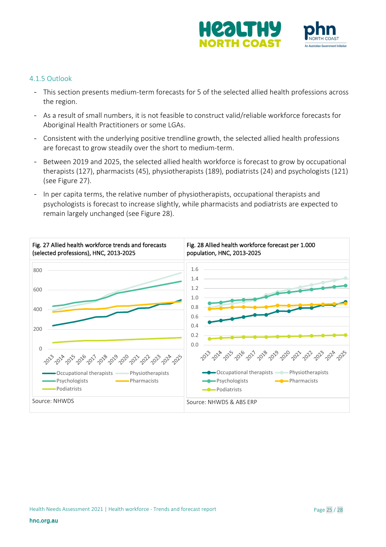

#### <span id="page-24-0"></span>4.1.5 Outlook

- This section presents medium-term forecasts for 5 of the selected allied health professions across the region.
- As a result of small numbers, it is not feasible to construct valid/reliable workforce forecasts for Aboriginal Health Practitioners or some LGAs.
- Consistent with the underlying positive trendline growth, the selected allied health professions are forecast to grow steadily over the short to medium-term.
- Between 2019 and 2025, the selected allied health workforce is forecast to grow by occupational therapists (127), pharmacists (45), physiotherapists (189), podiatrists (24) and psychologists (121) (see Figure 27).
- In per capita terms, the relative number of physiotherapists, occupational therapists and psychologists is forecast to increase slightly, while pharmacists and podiatrists are expected to remain largely unchanged (see Figure 28).

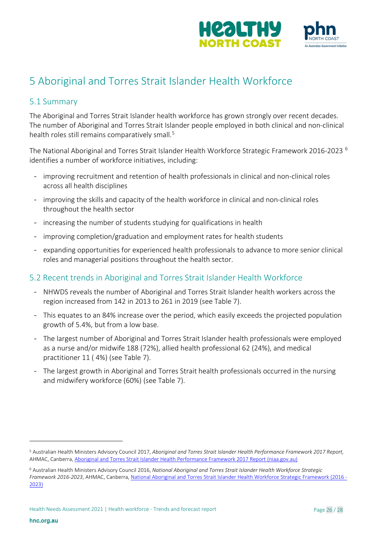

# <span id="page-25-0"></span>5 Aboriginal and Torres Strait Islander Health Workforce

### <span id="page-25-1"></span>5.1 Summary

The Aboriginal and Torres Strait Islander health workforce has grown strongly over recent decades. The number of Aboriginal and Torres Strait Islander people employed in both clinical and non-clinical health roles still remains comparatively small. [5](#page-25-3)

The National Aboriginal and Torres Strait Islander Health Workforce Strategic Framework 2016-2023 [6](#page-25-4) identifies a number of workforce initiatives, including:

- improving recruitment and retention of health professionals in clinical and non-clinical roles across all health disciplines
- improving the skills and capacity of the health workforce in clinical and non-clinical roles throughout the health sector
- increasing the number of students studying for qualifications in health
- improving completion/graduation and employment rates for health students
- expanding opportunities for experienced health professionals to advance to more senior clinical roles and managerial positions throughout the health sector.

### <span id="page-25-2"></span>5.2 Recent trends in Aboriginal and Torres Strait Islander Health Workforce

- NHWDS reveals the number of Aboriginal and Torres Strait Islander health workers across the region increased from 142 in 2013 to 261 in 2019 (see Table 7).
- This equates to an 84% increase over the period, which easily exceeds the projected population growth of 5.4%, but from a low base.
- The largest number of Aboriginal and Torres Strait Islander health professionals were employed as a nurse and/or midwife 188 (72%), allied health professional 62 (24%), and medical practitioner 11 ( 4%) (see Table 7).
- The largest growth in Aboriginal and Torres Strait health professionals occurred in the nursing and midwifery workforce (60%) (see Table 7).

<span id="page-25-3"></span><sup>5</sup> Australian Health Ministers Advisory Council 2017, *Aboriginal and Torres Strait Islander Health Performance Framework 2017 Report,*  AHMAC, Canberra, Aboriginal and Torres Strait Islander [Health Performance Framework 2017 Report \(niaa.gov.au\)](https://www.niaa.gov.au/sites/default/files/publications/2017-health-performance-framework-report_1.pdf)

<span id="page-25-4"></span><sup>6</sup> Australian Health Ministers Advisory Council 2016, *National Aboriginal and Torres Strait Islander Health Workforce Strategic Framework 2016-2023*, AHMAC, Canberra[, National Aboriginal and Torres Strait Islander Health Workforce Strategic Framework \(2016 -](https://www.health.gov.au/sites/default/files/documents/2020/12/national-aboriginal-and-torres-strait-islander-health-workforce-strategic-framework-2016-2023.pdf) [2023\)](https://www.health.gov.au/sites/default/files/documents/2020/12/national-aboriginal-and-torres-strait-islander-health-workforce-strategic-framework-2016-2023.pdf)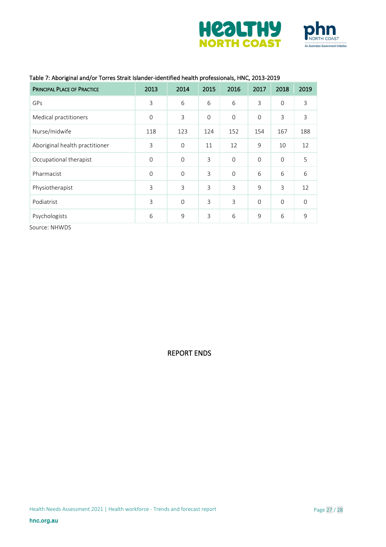



| ັ<br><b>PRINCIPAL PLACE OF PRACTICE</b> | 2013           | 2014     | 2015           | 2016           | 2017        | 2018        | 2019        |
|-----------------------------------------|----------------|----------|----------------|----------------|-------------|-------------|-------------|
| GPs                                     | 3              | 6        | 6              | 6              | 3           | $\mathbf 0$ | 3           |
| Medical practitioners                   | $\overline{0}$ | 3        | $\overline{0}$ | $\mathbf{O}$   | $\mathbf 0$ | 3           | 3           |
| Nurse/midwife                           | 118            | 123      | 124            | 152            | 154         | 167         | 188         |
| Aboriginal health practitioner          | 3              | $\Omega$ | 11             | 12             | 9           | 10          | 12          |
| Occupational therapist                  | $\mathbf{O}$   | $\Omega$ | 3              | $\mathbf 0$    | $\mathbf 0$ | $\mathbf 0$ | 5           |
| Pharmacist                              | $\overline{0}$ | $\Omega$ | $\overline{3}$ | $\Omega$       | 6           | 6           | 6           |
| Physiotherapist                         | 3              | 3        | $\overline{3}$ | $\overline{3}$ | 9           | 3           | 12          |
| Podiatrist                              | $\overline{3}$ | $\Omega$ | $\overline{3}$ | $\overline{3}$ | $\Omega$    | $\mathbf 0$ | $\mathbf 0$ |
| Psychologists                           | 6              | 9        | 3              | 6              | 9           | 6           | 9           |

#### Table 7: Aboriginal and/or Torres Strait Islander-identified health professionals, HNC, 2013-2019

Source: NHWDS

REPORT ENDS